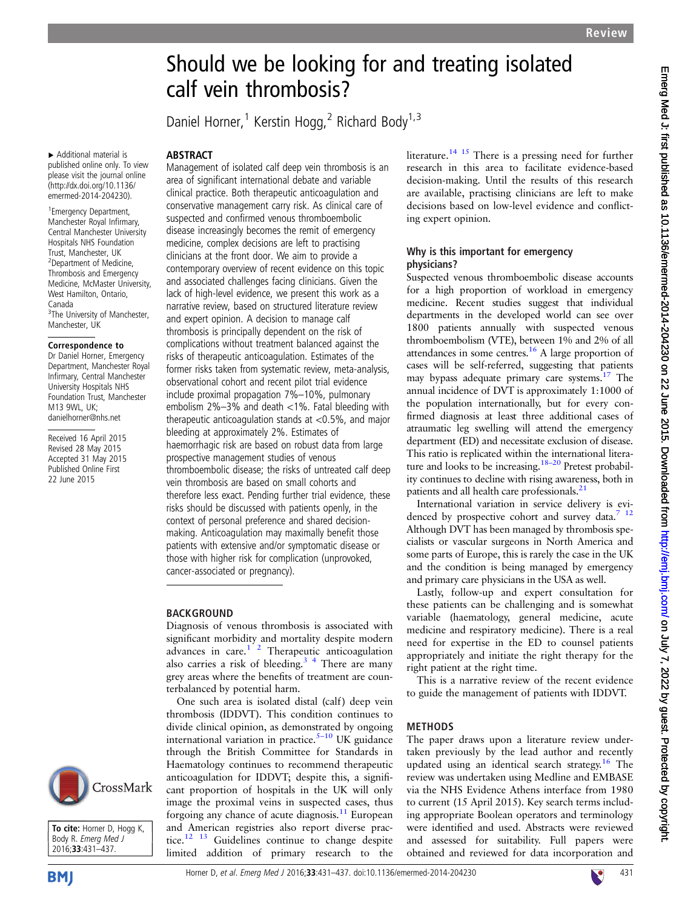# Should we be looking for and treating isolated calf vein thrombosis?

Daniel Horner,<sup>1</sup> Kerstin Hogg,<sup>2</sup> Richard Body<sup>1,3</sup>

▸ Additional material is published online only. To view please visit the journal online [\(http://dx.doi.org/10.1136/](http://dx.doi.org/10.1136/emermed-2014-204230) [emermed-2014-204230](http://dx.doi.org/10.1136/emermed-2014-204230)).

1 Emergency Department, Manchester Royal Infirmary, Central Manchester University Hospitals NHS Foundation Trust, Manchester, UK <sup>2</sup> Department of Medicine, Thrombosis and Emergency Medicine, McMaster University, West Hamilton, Ontario, Canada <sup>3</sup>The University of Manchester, Manchester, UK

#### Correspondence to

Dr Daniel Horner, Emergency Department, Manchester Royal Infirmary, Central Manchester University Hospitals NHS Foundation Trust, Manchester  $M13$  9WL, UK; danielhorner@nhs.net

Received 16 April 2015 Revised 28 May 2015 Accepted 31 May 2015 Published Online First 22 June 2015

#### ABSTRACT

Management of isolated calf deep vein thrombosis is an area of significant international debate and variable clinical practice. Both therapeutic anticoagulation and conservative management carry risk. As clinical care of suspected and confirmed venous thromboembolic disease increasingly becomes the remit of emergency medicine, complex decisions are left to practising clinicians at the front door. We aim to provide a contemporary overview of recent evidence on this topic and associated challenges facing clinicians. Given the lack of high-level evidence, we present this work as a narrative review, based on structured literature review and expert opinion. A decision to manage calf thrombosis is principally dependent on the risk of complications without treatment balanced against the risks of therapeutic anticoagulation. Estimates of the former risks taken from systematic review, meta-analysis, observational cohort and recent pilot trial evidence include proximal propagation 7%–10%, pulmonary embolism 2%–3% and death <1%. Fatal bleeding with therapeutic anticoagulation stands at <0.5%, and major bleeding at approximately 2%. Estimates of haemorrhagic risk are based on robust data from large prospective management studies of venous thromboembolic disease; the risks of untreated calf deep vein thrombosis are based on small cohorts and therefore less exact. Pending further trial evidence, these risks should be discussed with patients openly, in the context of personal preference and shared decisionmaking. Anticoagulation may maximally benefit those patients with extensive and/or symptomatic disease or those with higher risk for complication (unprovoked, cancer-associated or pregnancy).

#### BACKGROUND

Diagnosis of venous thrombosis is associated with significant morbidity and mortality despite modern advances in care. $1^2$  Therapeutic anticoagulation also carries a risk of bleeding.<sup>3</sup>  $4$  There are many grey areas where the benefits of treatment are counterbalanced by potential harm.

One such area is isolated distal (calf) deep vein thrombosis (IDDVT). This condition continues to divide clinical opinion, as demonstrated by ongoing international variation in practice.<sup>5-[10](#page-5-0)</sup> UK guidance through the British Committee for Standards in Haematology continues to recommend therapeutic anticoagulation for IDDVT; despite this, a significant proportion of hospitals in the UK will only image the proximal veins in suspected cases, thus forgoing any chance of acute diagnosis[.11](#page-5-0) European and American registries also report diverse prac-tice.<sup>[12 13](#page-5-0)</sup> Guidelines continue to change despite limited addition of primary research to the

literature.<sup>14 15</sup> There is a pressing need for further research in this area to facilitate evidence-based decision-making. Until the results of this research are available, practising clinicians are left to make decisions based on low-level evidence and conflicting expert opinion.

### Why is this important for emergency physicians?

Suspected venous thromboembolic disease accounts for a high proportion of workload in emergency medicine. Recent studies suggest that individual departments in the developed world can see over 1800 patients annually with suspected venous thromboembolism (VTE), between 1% and 2% of all attendances in some centres. $16$  A large proportion of cases will be self-referred, suggesting that patients may bypass adequate primary care systems.<sup>17</sup> The annual incidence of DVT is approximately 1:1000 of the population internationally, but for every confirmed diagnosis at least three additional cases of atraumatic leg swelling will attend the emergency department (ED) and necessitate exclusion of disease. This ratio is replicated within the international literature and looks to be increasing.<sup>18–20</sup> Pretest probability continues to decline with rising awareness, both in patients and all health care professionals.<sup>21</sup>

International variation in service delivery is evidenced by prospective cohort and survey data.<sup>7</sup> <sup>12</sup> Although DVT has been managed by thrombosis specialists or vascular surgeons in North America and some parts of Europe, this is rarely the case in the UK and the condition is being managed by emergency and primary care physicians in the USA as well.

Lastly, follow-up and expert consultation for these patients can be challenging and is somewhat variable (haematology, general medicine, acute medicine and respiratory medicine). There is a real need for expertise in the ED to counsel patients appropriately and initiate the right therapy for the right patient at the right time.

This is a narrative review of the recent evidence to guide the management of patients with IDDVT.

# METHODS

The paper draws upon a literature review undertaken previously by the lead author and recently updated using an identical search strategy.<sup>[16](#page-5-0)</sup> The review was undertaken using Medline and EMBASE via the NHS Evidence Athens interface from 1980 to current (15 April 2015). Key search terms including appropriate Boolean operators and terminology were identified and used. Abstracts were reviewed and assessed for suitability. Full papers were obtained and reviewed for data incorporation and



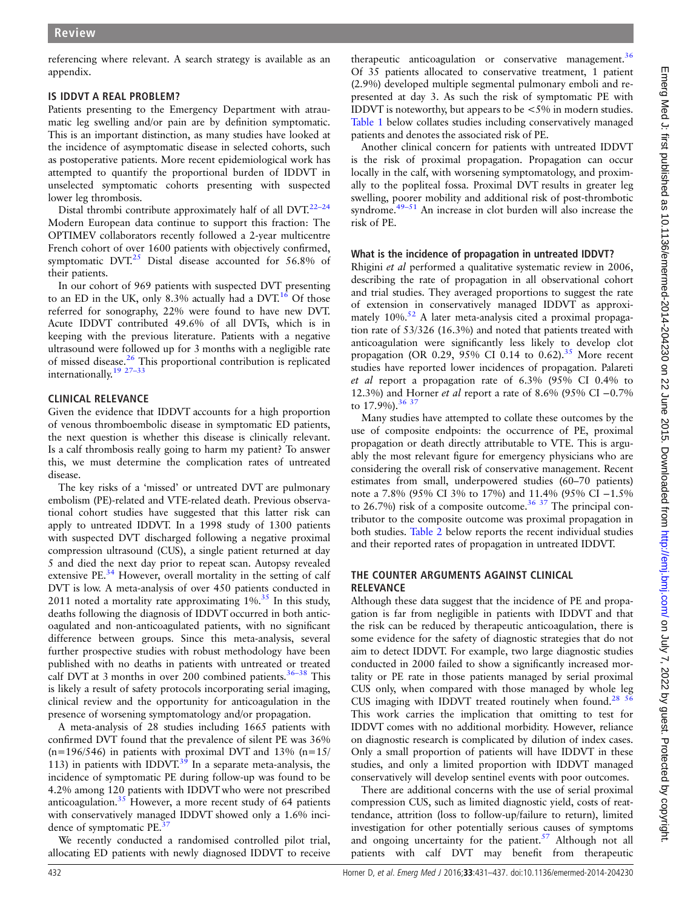referencing where relevant. A search strategy is available as an appendix.

# IS IDDVT A REAL PROBLEM?

Patients presenting to the Emergency Department with atraumatic leg swelling and/or pain are by definition symptomatic. This is an important distinction, as many studies have looked at the incidence of asymptomatic disease in selected cohorts, such as postoperative patients. More recent epidemiological work has attempted to quantify the proportional burden of IDDVT in unselected symptomatic cohorts presenting with suspected lower leg thrombosis.

Distal thrombi contribute approximately half of all DVT.<sup>[22](#page-5-0)-24</sup> Modern European data continue to support this fraction: The OPTIMEV collaborators recently followed a 2-year multicentre French cohort of over 1600 patients with objectively confirmed, symptomatic  $DVT<sup>25</sup>$  $DVT<sup>25</sup>$  $DVT<sup>25</sup>$  Distal disease accounted for 56.8% of their patients.

In our cohort of 969 patients with suspected DVT presenting to an ED in the UK, only 8.3% actually had a DVT. $^{16}$  $^{16}$  $^{16}$  Of those referred for sonography, 22% were found to have new DVT. Acute IDDVT contributed 49.6% of all DVTs, which is in keeping with the previous literature. Patients with a negative ultrasound were followed up for 3 months with a negligible rate of missed disease.[26](#page-5-0) This proportional contribution is replicated  $\frac{1}{27-33}$  $\frac{1}{27-33}$  $\frac{1}{27-33}$  internationally.<sup>[19](#page-5-0)</sup> <sup>27–33</sup>

# CLINICAL RELEVANCE

Given the evidence that IDDVT accounts for a high proportion of venous thromboembolic disease in symptomatic ED patients, the next question is whether this disease is clinically relevant. Is a calf thrombosis really going to harm my patient? To answer this, we must determine the complication rates of untreated disease.

The key risks of a 'missed' or untreated DVT are pulmonary embolism (PE)-related and VTE-related death. Previous observational cohort studies have suggested that this latter risk can apply to untreated IDDVT. In a 1998 study of 1300 patients with suspected DVT discharged following a negative proximal compression ultrasound (CUS), a single patient returned at day 5 and died the next day prior to repeat scan. Autopsy revealed extensive PE. $34$  However, overall mortality in the setting of calf DVT is low. A meta-analysis of over 450 patients conducted in 2011 noted a mortality rate approximating  $1\%$ .<sup>[35](#page-6-0)</sup> In this study, deaths following the diagnosis of IDDVT occurred in both anticoagulated and non-anticoagulated patients, with no significant difference between groups. Since this meta-analysis, several further prospective studies with robust methodology have been published with no deaths in patients with untreated or treated calf DVT at 3 months in over 200 combined patients.<sup>[36](#page-6-0)–38</sup> This is likely a result of safety protocols incorporating serial imaging, clinical review and the opportunity for anticoagulation in the presence of worsening symptomatology and/or propagation.

A meta-analysis of 28 studies including 1665 patients with confirmed DVT found that the prevalence of silent PE was 36%  $(n=196/546)$  in patients with proximal DVT and 13%  $(n=15/56)$ 113) in patients with IDDVT. $39$  In a separate meta-analysis, the incidence of symptomatic PE during follow-up was found to be 4.2% among 120 patients with IDDVT who were not prescribed anticoagulation.<sup>[35](#page-6-0)</sup> However, a more recent study of  $64$  patients with conservatively managed IDDVT showed only a 1.6% incidence of symptomatic PE.<sup>3</sup>

We recently conducted a randomised controlled pilot trial, allocating ED patients with newly diagnosed IDDVT to receive

therapeutic anticoagulation or conservative management.<sup>[36](#page-6-0)</sup> Of 35 patients allocated to conservative treatment, 1 patient (2.9%) developed multiple segmental pulmonary emboli and represented at day 3. As such the risk of symptomatic PE with IDDVT is noteworthy, but appears to be <5% in modern studies. [Table 1](#page-2-0) below collates studies including conservatively managed patients and denotes the associated risk of PE.

Another clinical concern for patients with untreated IDDVT is the risk of proximal propagation. Propagation can occur locally in the calf, with worsening symptomatology, and proximally to the popliteal fossa. Proximal DVT results in greater leg swelling, poorer mobility and additional risk of post-thrombotic syndrome.<sup>[49](#page-6-0)–51</sup> An increase in clot burden will also increase the risk of PE.

## What is the incidence of propagation in untreated IDDVT?

Rhigini et al performed a qualitative systematic review in 2006, describing the rate of propagation in all observational cohort and trial studies. They averaged proportions to suggest the rate of extension in conservatively managed IDDVT as approximately  $10\%$ .<sup>[52](#page-6-0)</sup> A later meta-analysis cited a proximal propagation rate of 53/326 (16.3%) and noted that patients treated with anticoagulation were significantly less likely to develop clot propagation (OR 0.29, 95% CI 0.14 to 0.62).<sup>35</sup> More recent studies have reported lower incidences of propagation. Palareti et al report a propagation rate of 6.3% (95% CI 0.4% to 12.3%) and Horner et al report a rate of 8.6% (95% CI −0.7% to 17.9%).<sup>36</sup> <sup>37</sup>

Many studies have attempted to collate these outcomes by the use of composite endpoints: the occurrence of PE, proximal propagation or death directly attributable to VTE. This is arguably the most relevant figure for emergency physicians who are considering the overall risk of conservative management. Recent estimates from small, underpowered studies (60–70 patients) note a 7.8% (95% CI 3% to 17%) and 11.4% (95% CI −1.5% to 26.7%) risk of a composite outcome.<sup>[36 37](#page-6-0)</sup> The principal contributor to the composite outcome was proximal propagation in both studies. [Table 2](#page-2-0) below reports the recent individual studies and their reported rates of propagation in untreated IDDVT.

#### THE COUNTER ARGUMENTS AGAINST CLINICAL **RELEVANCE**

Although these data suggest that the incidence of PE and propagation is far from negligible in patients with IDDVT and that the risk can be reduced by therapeutic anticoagulation, there is some evidence for the safety of diagnostic strategies that do not aim to detect IDDVT. For example, two large diagnostic studies conducted in 2000 failed to show a significantly increased mortality or PE rate in those patients managed by serial proximal CUS only, when compared with those managed by whole leg CUS imaging with IDDVT treated routinely when found.<sup>28</sup> This work carries the implication that omitting to test for IDDVT comes with no additional morbidity. However, reliance on diagnostic research is complicated by dilution of index cases. Only a small proportion of patients will have IDDVT in these studies, and only a limited proportion with IDDVT managed conservatively will develop sentinel events with poor outcomes.

There are additional concerns with the use of serial proximal compression CUS, such as limited diagnostic yield, costs of reattendance, attrition (loss to follow-up/failure to return), limited investigation for other potentially serious causes of symptoms and ongoing uncertainty for the patient.<sup>[57](#page-6-0)</sup> Although not all patients with calf DVT may benefit from therapeutic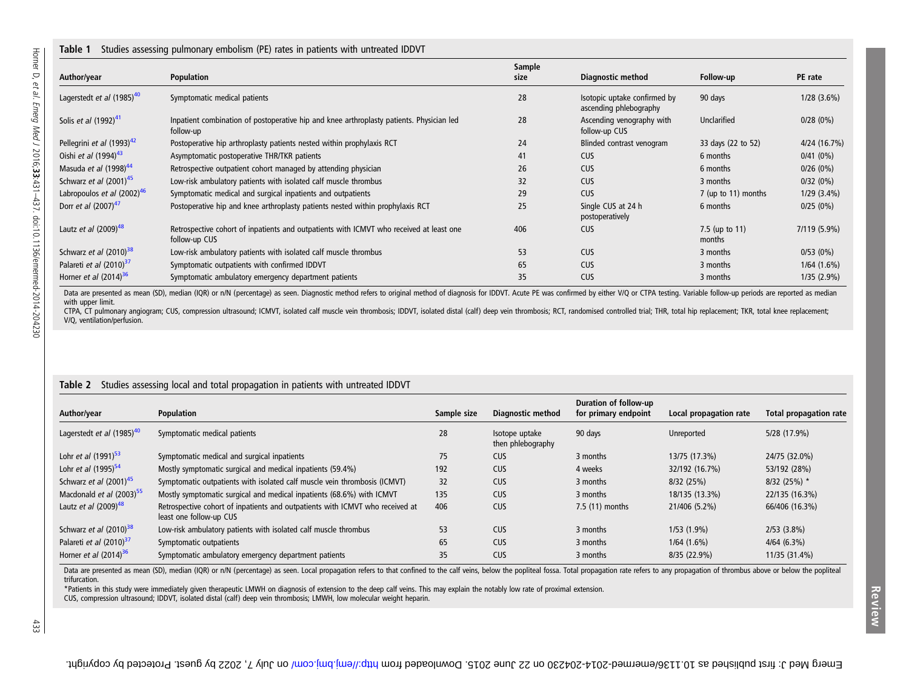<span id="page-2-0"></span>

| Author/year                            | Population                                                                                               | Sample<br>size | <b>Diagnostic method</b>                               | Follow-up                   | PE rate          |
|----------------------------------------|----------------------------------------------------------------------------------------------------------|----------------|--------------------------------------------------------|-----------------------------|------------------|
| Lagerstedt et al (1985) <sup>40</sup>  | Symptomatic medical patients                                                                             | 28             | Isotopic uptake confirmed by<br>ascending phlebography | 90 days                     | $1/28$ (3.6%)    |
| Solis et al $(1992)^{41}$              | Inpatient combination of postoperative hip and knee arthroplasty patients. Physician led<br>follow-up    | 28             | Ascending venography with<br>follow-up CUS             | Unclarified                 | 0/28(0%)         |
| Pellegrini et al $(1993)^{42}$         | Postoperative hip arthroplasty patients nested within prophylaxis RCT                                    | 24             | Blinded contrast venogram                              | 33 days (22 to 52)          | 4/24 (16.7%)     |
| Oishi et al $(1994)^{43}$              | Asymptomatic postoperative THR/TKR patients                                                              | 41             | <b>CUS</b>                                             | 6 months                    | $0/41(0\%)$      |
| Masuda et al (1998) <sup>44</sup>      | Retrospective outpatient cohort managed by attending physician                                           | 26             | <b>CUS</b>                                             | 6 months                    | 0/26(0%)         |
| Schwarz et al $(2001)^{45}$            | Low-risk ambulatory patients with isolated calf muscle thrombus                                          | 32             | <b>CUS</b>                                             | 3 months                    | 0/32(0%)         |
| Labropoulos et al (2002) <sup>46</sup> | Symptomatic medical and surgical inpatients and outpatients                                              | 29             | CUS                                                    | 7 (up to 11) months         | $1/29$ $(3.4\%)$ |
| Dorr et al (2007) <sup>47</sup>        | Postoperative hip and knee arthroplasty patients nested within prophylaxis RCT                           | 25             | Single CUS at 24 h<br>postoperatively                  | 6 months                    | 0/25(0%)         |
| Lautz et al (2009) <sup>48</sup>       | Retrospective cohort of inpatients and outpatients with ICMVT who received at least one<br>follow-up CUS | 406            | <b>CUS</b>                                             | 7.5 (up to $11$ )<br>months | 7/119 (5.9%)     |
| Schwarz et al (2010) <sup>38</sup>     | Low-risk ambulatory patients with isolated calf muscle thrombus                                          | 53             | <b>CUS</b>                                             | 3 months                    | 0/53(0%)         |
| Palareti et al (2010) <sup>37</sup>    | Symptomatic outpatients with confirmed IDDVT                                                             | 65             | <b>CUS</b>                                             | 3 months                    | $1/64$ $(1.6\%)$ |
| Horner et al $(2014)^{36}$             | Symptomatic ambulatory emergency department patients                                                     | 35             | <b>CUS</b>                                             | 3 months                    | 1/35(2.9%)       |

with upper limit.

CTPA, CT pulmonary angiogram; CUS, compression ultrasound; ICMVT, isolated calf muscle vein thrombosis; IDDVT, isolated distal (calf) deep vein thrombosis; RCT, randomised controlled trial; THR, total hip replacement; TKR, V/Q, ventilation/perfusion.

### Table 2 Studies assessing local and total propagation in patients with untreated IDDVT

| Author/year                           | Population                                                                                               | Sample size | Diagnostic method                   | Duration of follow-up<br>for primary endpoint | Local propagation rate | <b>Total propagation rate</b> |
|---------------------------------------|----------------------------------------------------------------------------------------------------------|-------------|-------------------------------------|-----------------------------------------------|------------------------|-------------------------------|
| Lagerstedt et al (1985) <sup>40</sup> | Symptomatic medical patients                                                                             | 28          | Isotope uptake<br>then phlebography | 90 days                                       | Unreported             | 5/28 (17.9%)                  |
| Lohr et al $(1991)^{53}$              | Symptomatic medical and surgical inpatients                                                              | 75          | <b>CUS</b>                          | 3 months                                      | 13/75 (17.3%)          | 24/75 (32.0%)                 |
| Lohr et al $(1995)^{54}$              | Mostly symptomatic surgical and medical inpatients (59.4%)                                               | 192         | CUS                                 | 4 weeks                                       | 32/192 (16.7%)         | 53/192 (28%)                  |
| Schwarz et al (2001) <sup>45</sup>    | Symptomatic outpatients with isolated calf muscle vein thrombosis (ICMVT)                                | 32          | CUS                                 | 3 months                                      | 8/32 (25%)             | 8/32 (25%) *                  |
| Macdonald et al (2003) <sup>55</sup>  | Mostly symptomatic surgical and medical inpatients (68.6%) with ICMVT                                    | 135         | CUS                                 | 3 months                                      | 18/135 (13.3%)         | 22/135 (16.3%)                |
| Lautz et al $(2009)^{48}$             | Retrospective cohort of inpatients and outpatients with ICMVT who received at<br>least one follow-up CUS | 406         | CUS                                 | 7.5 (11) months                               | 21/406 (5.2%)          | 66/406 (16.3%)                |
| Schwarz et al (2010) <sup>38</sup>    | Low-risk ambulatory patients with isolated calf muscle thrombus                                          | 53          | CUS                                 | 3 months                                      | $1/53(1.9\%)$          | $2/53$ (3.8%)                 |
| Palareti et al (2010) <sup>37</sup>   | Symptomatic outpatients                                                                                  | 65          | CUS                                 | 3 months                                      | $1/64$ $(1.6\%)$       | $4/64(6.3\%)$                 |
| Horner et al $(2014)^{36}$            | Symptomatic ambulatory emergency department patients                                                     | 35          | CUS                                 | 3 months                                      | 8/35 (22.9%)           | 11/35 (31.4%)                 |

Data are presented as mean (SD), median (IQR) or n/N (percentage) as seen. Local propagation refers to that confined to the calf veins, below the popliteal fossa. Total propagation rate refers to any propagation of thrombu trifurcation.

\*Patients in this study were immediately given therapeutic LMWH on diagnosis of extension to the deep calf veins. This may explain the notably low rate of proximal extension.

CUS, compression ultrasound; IDDVT, isolated distal (calf) deep vein thrombosis; LMWH, low molecular weight heparin.

433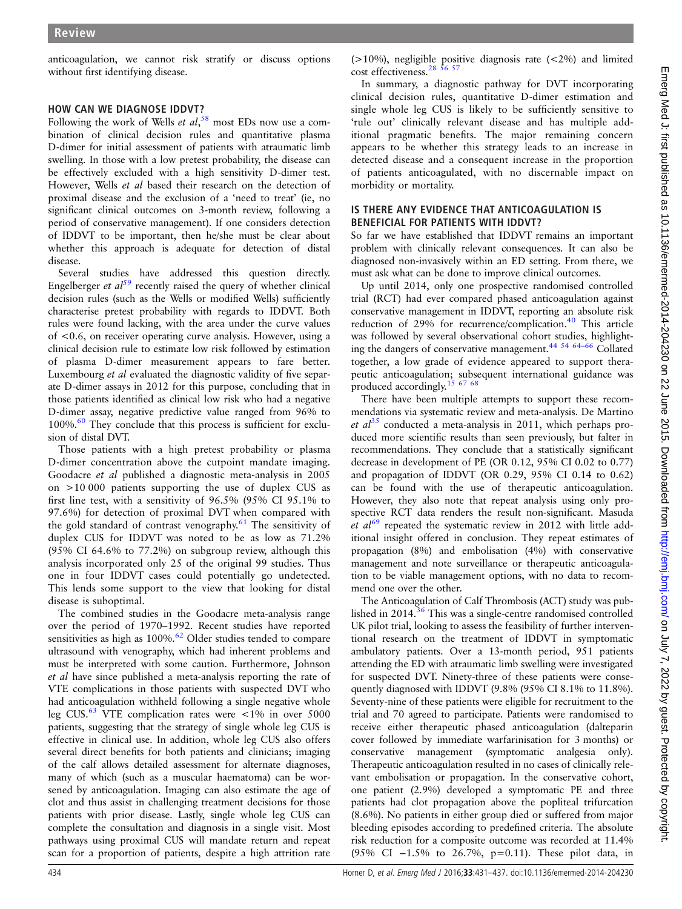anticoagulation, we cannot risk stratify or discuss options without first identifying disease.

# HOW CAN WE DIAGNOSE IDDVT?

Following the work of Wells et  $al<sub>2</sub>$ <sup>[58](#page-6-0)</sup> most EDs now use a combination of clinical decision rules and quantitative plasma D-dimer for initial assessment of patients with atraumatic limb swelling. In those with a low pretest probability, the disease can be effectively excluded with a high sensitivity D-dimer test. However, Wells et al based their research on the detection of proximal disease and the exclusion of a 'need to treat' (ie, no significant clinical outcomes on 3-month review, following a period of conservative management). If one considers detection of IDDVT to be important, then he/she must be clear about whether this approach is adequate for detection of distal disease.

Several studies have addressed this question directly. Engelberger *et al*<sup>[59](#page-6-0)</sup> recently raised the query of whether clinical decision rules (such as the Wells or modified Wells) sufficiently characterise pretest probability with regards to IDDVT. Both rules were found lacking, with the area under the curve values of <0.6, on receiver operating curve analysis. However, using a clinical decision rule to estimate low risk followed by estimation of plasma D-dimer measurement appears to fare better. Luxembourg et al evaluated the diagnostic validity of five separate D-dimer assays in 2012 for this purpose, concluding that in those patients identified as clinical low risk who had a negative D-dimer assay, negative predictive value ranged from 96% to  $100\%$ .<sup>[60](#page-6-0)</sup> They conclude that this process is sufficient for exclusion of distal DVT.

Those patients with a high pretest probability or plasma D-dimer concentration above the cutpoint mandate imaging. Goodacre et al published a diagnostic meta-analysis in 2005 on >10 000 patients supporting the use of duplex CUS as first line test, with a sensitivity of 96.5% (95% CI 95.1% to 97.6%) for detection of proximal DVT when compared with the gold standard of contrast venography.<sup>[61](#page-6-0)</sup> The sensitivity of duplex CUS for IDDVT was noted to be as low as 71.2% (95% CI 64.6% to 77.2%) on subgroup review, although this analysis incorporated only 25 of the original 99 studies. Thus one in four IDDVT cases could potentially go undetected. This lends some support to the view that looking for distal disease is suboptimal.

The combined studies in the Goodacre meta-analysis range over the period of 1970–1992. Recent studies have reported sensitivities as high as  $100\%$ .<sup>[62](#page-6-0)</sup> Older studies tended to compare ultrasound with venography, which had inherent problems and must be interpreted with some caution. Furthermore, Johnson et al have since published a meta-analysis reporting the rate of VTE complications in those patients with suspected DVT who had anticoagulation withheld following a single negative whole leg CUS.<sup>[63](#page-6-0)</sup> VTE complication rates were  $\lt 1\%$  in over 5000 patients, suggesting that the strategy of single whole leg CUS is effective in clinical use. In addition, whole leg CUS also offers several direct benefits for both patients and clinicians; imaging of the calf allows detailed assessment for alternate diagnoses, many of which (such as a muscular haematoma) can be worsened by anticoagulation. Imaging can also estimate the age of clot and thus assist in challenging treatment decisions for those patients with prior disease. Lastly, single whole leg CUS can complete the consultation and diagnosis in a single visit. Most pathways using proximal CUS will mandate return and repeat scan for a proportion of patients, despite a high attrition rate

(>10%), negligible positive diagnosis rate (<2%) and limited cost effectiveness.<sup>[28](#page-5-0)</sup> [56 57](#page-6-0)

In summary, a diagnostic pathway for DVT incorporating clinical decision rules, quantitative D-dimer estimation and single whole leg CUS is likely to be sufficiently sensitive to 'rule out' clinically relevant disease and has multiple additional pragmatic benefits. The major remaining concern appears to be whether this strategy leads to an increase in detected disease and a consequent increase in the proportion of patients anticoagulated, with no discernable impact on morbidity or mortality.

# IS THERE ANY EVIDENCE THAT ANTICOAGULATION IS BENEFICIAL FOR PATIENTS WITH IDDVT?

So far we have established that IDDVT remains an important problem with clinically relevant consequences. It can also be diagnosed non-invasively within an ED setting. From there, we must ask what can be done to improve clinical outcomes.

Up until 2014, only one prospective randomised controlled trial (RCT) had ever compared phased anticoagulation against conservative management in IDDVT, reporting an absolute risk reduction of 29% for recurrence/complication.<sup>[40](#page-6-0)</sup> This article was followed by several observational cohort studies, highlight-ing the dangers of conservative management.<sup>[44 54 64](#page-6-0)–66</sup> Collated together, a low grade of evidence appeared to support therapeutic anticoagulation; subsequent international guidance was produced accordingly.<sup>[15](#page-5-0) [67 68](#page-6-0)</sup>

There have been multiple attempts to support these recommendations via systematic review and meta-analysis. De Martino et  $al^{35}$  $al^{35}$  $al^{35}$  conducted a meta-analysis in 2011, which perhaps produced more scientific results than seen previously, but falter in recommendations. They conclude that a statistically significant decrease in development of PE (OR 0.12, 95% CI 0.02 to 0.77) and propagation of IDDVT (OR 0.29, 95% CI 0.14 to 0.62) can be found with the use of therapeutic anticoagulation. However, they also note that repeat analysis using only prospective RCT data renders the result non-significant. Masuda et  $al^{69}$  $al^{69}$  $al^{69}$  repeated the systematic review in 2012 with little additional insight offered in conclusion. They repeat estimates of propagation (8%) and embolisation (4%) with conservative management and note surveillance or therapeutic anticoagulation to be viable management options, with no data to recommend one over the other.

The Anticoagulation of Calf Thrombosis (ACT) study was published in 2014.[36](#page-6-0) This was a single-centre randomised controlled UK pilot trial, looking to assess the feasibility of further interventional research on the treatment of IDDVT in symptomatic ambulatory patients. Over a 13-month period, 951 patients attending the ED with atraumatic limb swelling were investigated for suspected DVT. Ninety-three of these patients were consequently diagnosed with IDDVT (9.8% (95% CI 8.1% to 11.8%). Seventy-nine of these patients were eligible for recruitment to the trial and 70 agreed to participate. Patients were randomised to receive either therapeutic phased anticoagulation (dalteparin cover followed by immediate warfarinisation for 3 months) or conservative management (symptomatic analgesia only). Therapeutic anticoagulation resulted in no cases of clinically relevant embolisation or propagation. In the conservative cohort, one patient (2.9%) developed a symptomatic PE and three patients had clot propagation above the popliteal trifurcation (8.6%). No patients in either group died or suffered from major bleeding episodes according to predefined criteria. The absolute risk reduction for a composite outcome was recorded at 11.4% (95% CI −1.5% to 26.7%, p=0.11). These pilot data, in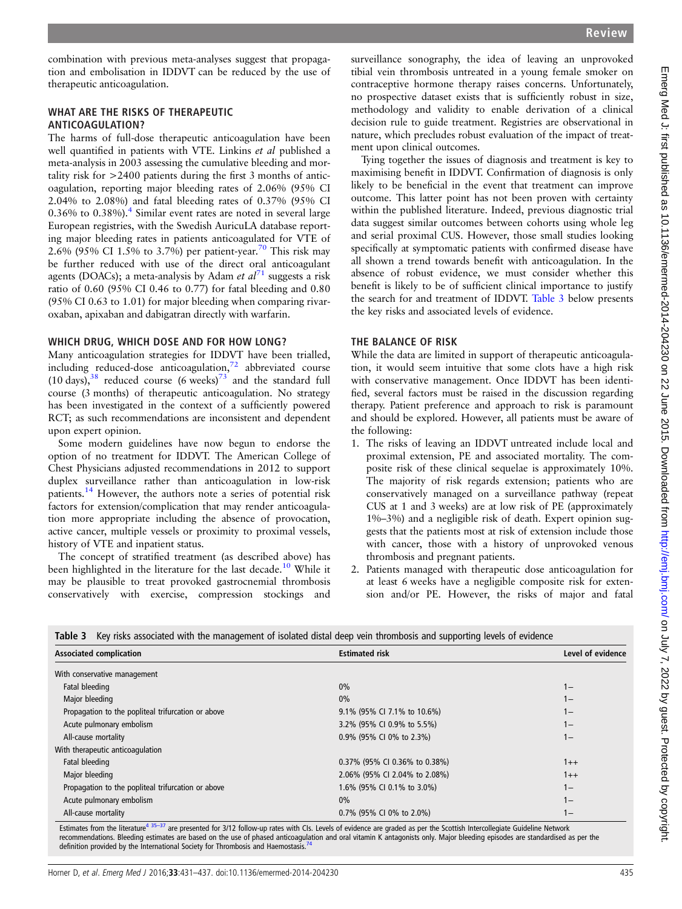combination with previous meta-analyses suggest that propagation and embolisation in IDDVT can be reduced by the use of therapeutic anticoagulation.

# WHAT ARE THE RISKS OF THERAPEUTIC ANTICOAGULATION?

The harms of full-dose therapeutic anticoagulation have been well quantified in patients with VTE. Linkins et al published a meta-analysis in 2003 assessing the cumulative bleeding and mortality risk for >2400 patients during the first 3 months of anticoagulation, reporting major bleeding rates of 2.06% (95% CI 2.04% to 2.08%) and fatal bleeding rates of 0.37% (95% CI  $0.36\%$  to  $0.38\%$ ).<sup>[4](#page-5-0)</sup> Similar event rates are noted in several large European registries, with the Swedish AuricuLA database reporting major bleeding rates in patients anticoagulated for VTE of 2.6% (95% CI 1.5% to 3.7%) per patient-year.<sup>[70](#page-6-0)</sup> This risk may be further reduced with use of the direct oral anticoagulant agents (DOACs); a meta-analysis by Adam et  $al^{71}$  $al^{71}$  $al^{71}$  suggests a risk ratio of 0.60 (95% CI 0.46 to 0.77) for fatal bleeding and 0.80 (95% CI 0.63 to 1.01) for major bleeding when comparing rivaroxaban, apixaban and dabigatran directly with warfarin.

## WHICH DRUG, WHICH DOSE AND FOR HOW LONG?

Many anticoagulation strategies for IDDVT have been trialled, including reduced-dose anticoagulation, $72$  abbreviated course (10 days),<sup>[38](#page-6-0)</sup> reduced course (6 weeks)<sup>[73](#page-6-0)</sup> and the standard full course (3 months) of therapeutic anticoagulation. No strategy has been investigated in the context of a sufficiently powered RCT; as such recommendations are inconsistent and dependent upon expert opinion.

Some modern guidelines have now begun to endorse the option of no treatment for IDDVT. The American College of Chest Physicians adjusted recommendations in 2012 to support duplex surveillance rather than anticoagulation in low-risk patients.<sup>[14](#page-5-0)</sup> However, the authors note a series of potential risk factors for extension/complication that may render anticoagulation more appropriate including the absence of provocation, active cancer, multiple vessels or proximity to proximal vessels, history of VTE and inpatient status.

The concept of stratified treatment (as described above) has been highlighted in the literature for the last decade.<sup>[10](#page-5-0)</sup> While it may be plausible to treat provoked gastrocnemial thrombosis conservatively with exercise, compression stockings and

surveillance sonography, the idea of leaving an unprovoked tibial vein thrombosis untreated in a young female smoker on contraceptive hormone therapy raises concerns. Unfortunately, no prospective dataset exists that is sufficiently robust in size, methodology and validity to enable derivation of a clinical decision rule to guide treatment. Registries are observational in nature, which precludes robust evaluation of the impact of treatment upon clinical outcomes.

Tying together the issues of diagnosis and treatment is key to maximising benefit in IDDVT. Confirmation of diagnosis is only likely to be beneficial in the event that treatment can improve outcome. This latter point has not been proven with certainty within the published literature. Indeed, previous diagnostic trial data suggest similar outcomes between cohorts using whole leg and serial proximal CUS. However, those small studies looking specifically at symptomatic patients with confirmed disease have all shown a trend towards benefit with anticoagulation. In the absence of robust evidence, we must consider whether this benefit is likely to be of sufficient clinical importance to justify the search for and treatment of IDDVT. Table 3 below presents the key risks and associated levels of evidence.

# THE BALANCE OF RISK

While the data are limited in support of therapeutic anticoagulation, it would seem intuitive that some clots have a high risk with conservative management. Once IDDVT has been identified, several factors must be raised in the discussion regarding therapy. Patient preference and approach to risk is paramount and should be explored. However, all patients must be aware of the following:

- 1. The risks of leaving an IDDVT untreated include local and proximal extension, PE and associated mortality. The composite risk of these clinical sequelae is approximately 10%. The majority of risk regards extension; patients who are conservatively managed on a surveillance pathway (repeat CUS at 1 and 3 weeks) are at low risk of PE (approximately 1%–3%) and a negligible risk of death. Expert opinion suggests that the patients most at risk of extension include those with cancer, those with a history of unprovoked venous thrombosis and pregnant patients.
- 2. Patients managed with therapeutic dose anticoagulation for at least 6 weeks have a negligible composite risk for extension and/or PE. However, the risks of major and fatal

| Table 3 Key risks associated with the management of isolated distal deep vein thrombosis and supporting levels of evidence |  |  |  |
|----------------------------------------------------------------------------------------------------------------------------|--|--|--|
|                                                                                                                            |  |  |  |

| <b>Associated complication</b>                     | <b>Estimated risk</b>         | Level of evidence |  |
|----------------------------------------------------|-------------------------------|-------------------|--|
| With conservative management                       |                               |                   |  |
| Fatal bleeding                                     | $0\%$                         | $1 -$             |  |
| Major bleeding                                     | $0\%$                         | $1 -$             |  |
| Propagation to the popliteal trifurcation or above | 9.1% (95% CI 7.1% to 10.6%)   | $1 -$             |  |
| Acute pulmonary embolism                           | 3.2% (95% CI 0.9% to 5.5%)    | $1 -$             |  |
| All-cause mortality                                | 0.9% (95% CI 0% to 2.3%)      | $1 -$             |  |
| With therapeutic anticoagulation                   |                               |                   |  |
| Fatal bleeding                                     | 0.37% (95% CI 0.36% to 0.38%) | $1++$             |  |
| Major bleeding                                     | 2.06% (95% CI 2.04% to 2.08%) | $1 + +$           |  |
| Propagation to the popliteal trifurcation or above | 1.6% (95% CI 0.1% to 3.0%)    | $1 -$             |  |
| Acute pulmonary embolism                           | $0\%$                         | $1 -$             |  |
| All-cause mortality                                | 0.7% (95% CI 0% to 2.0%)      | $1 -$             |  |

Estimates from the literature<sup>[4](#page-5-0) [35](#page-6-0)–37</sup> are presented for 3/12 follow-up rates with CIs. Levels of evidence are graded as per the Scottish Intercollegiate Guideline Network recommendations. Bleeding estimates are based on the use of phased anticoagulation and oral vitamin K antagonists only. Major bleeding episodes are standardised as per the definition provided by the International Society for Thrombosis and Haemostasis.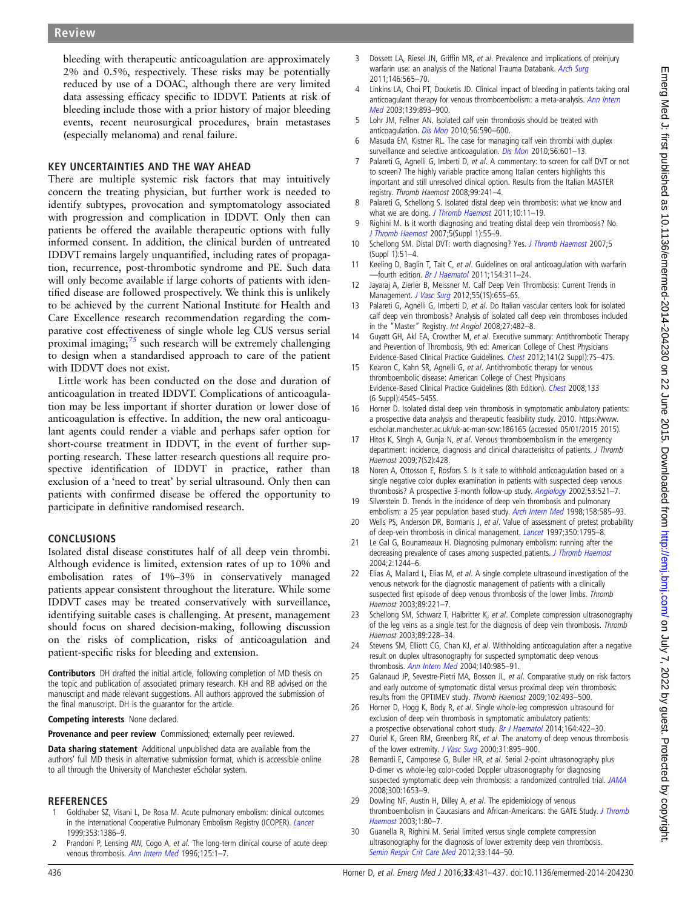<span id="page-5-0"></span>bleeding with therapeutic anticoagulation are approximately 2% and 0.5%, respectively. These risks may be potentially reduced by use of a DOAC, although there are very limited data assessing efficacy specific to IDDVT. Patients at risk of bleeding include those with a prior history of major bleeding events, recent neurosurgical procedures, brain metastases (especially melanoma) and renal failure.

#### KEY UNCERTAINTIES AND THE WAY AHEAD

There are multiple systemic risk factors that may intuitively concern the treating physician, but further work is needed to identify subtypes, provocation and symptomatology associated with progression and complication in IDDVT. Only then can patients be offered the available therapeutic options with fully informed consent. In addition, the clinical burden of untreated IDDVT remains largely unquantified, including rates of propagation, recurrence, post-thrombotic syndrome and PE. Such data will only become available if large cohorts of patients with identified disease are followed prospectively. We think this is unlikely to be achieved by the current National Institute for Health and Care Excellence research recommendation regarding the comparative cost effectiveness of single whole leg CUS versus serial proximal imaging; $\frac{75}{3}$  $\frac{75}{3}$  $\frac{75}{3}$  such research will be extremely challenging to design when a standardised approach to care of the patient with IDDVT does not exist.

Little work has been conducted on the dose and duration of anticoagulation in treated IDDVT. Complications of anticoagulation may be less important if shorter duration or lower dose of anticoagulation is effective. In addition, the new oral anticoagulant agents could render a viable and perhaps safer option for short-course treatment in IDDVT, in the event of further supporting research. These latter research questions all require prospective identification of IDDVT in practice, rather than exclusion of a 'need to treat' by serial ultrasound. Only then can patients with confirmed disease be offered the opportunity to participate in definitive randomised research.

#### **CONCLUSIONS**

Isolated distal disease constitutes half of all deep vein thrombi. Although evidence is limited, extension rates of up to 10% and embolisation rates of 1%–3% in conservatively managed patients appear consistent throughout the literature. While some IDDVT cases may be treated conservatively with surveillance, identifying suitable cases is challenging. At present, management should focus on shared decision-making, following discussion on the risks of complication, risks of anticoagulation and patient-specific risks for bleeding and extension.

Contributors DH drafted the initial article, following completion of MD thesis on the topic and publication of associated primary research. KH and RB advised on the manuscript and made relevant suggestions. All authors approved the submission of the final manuscript. DH is the guarantor for the article.

Competing interests None declared.

Provenance and peer review Commissioned; externally peer reviewed.

Data sharing statement Additional unpublished data are available from the authors' full MD thesis in alternative submission format, which is accessible online to all through the University of Manchester eScholar system.

#### REFERENCES

- 1 Goldhaber SZ, Visani L, De Rosa M. Acute pulmonary embolism: clinical outcomes in the International Cooperative Pulmonary Embolism Registry (ICOPER). [Lancet](http://dx.doi.org/10.1016/S0140-6736(98)07534-5) 1999;353:1386–9.
- 2 Prandoni P, Lensing AW, Cogo A, et al. The long-term clinical course of acute deep venous thrombosis. [Ann Intern Med](http://dx.doi.org/10.7326/0003-4819-125-1-199607010-00001) 1996;125:1-7.
- 3 Dossett LA, Riesel JN, Griffin MR, et al. Prevalence and implications of preinjury warfarin use: an analysis of the National Trauma Databank. [Arch Surg](http://dx.doi.org/10.1001/archsurg.2010.313) 2011;146:565–70.
- 4 Linkins LA, Choi PT, Douketis JD. Clinical impact of bleeding in patients taking oral anticoagulant therapy for venous thromboembolism: a meta-analysis. [Ann Intern](http://dx.doi.org/10.7326/0003-4819-139-11-200312020-00007) [Med](http://dx.doi.org/10.7326/0003-4819-139-11-200312020-00007) 2003;139:893–900.
- 5 Lohr JM, Fellner AN. Isolated calf vein thrombosis should be treated with anticoagulation. [Dis Mon](http://dx.doi.org/10.1016/j.disamonth.2010.06.010) 2010;56:590-600.
- 6 Masuda EM, Kistner RL. The case for managing calf vein thrombi with duplex surveillance and selective anticoagulation. [Dis Mon](http://dx.doi.org/10.1016/j.disamonth.2010.06.011) 2010;56:601-13.
- 7 Palareti G, Agnelli G, Imberti D, et al. A commentary: to screen for calf DVT or not to screen? The highly variable practice among Italian centers highlights this important and still unresolved clinical option. Results from the Italian MASTER registry. Thromb Haemost 2008;99:241–4.
- Palareti G, Schellong S. Isolated distal deep vein thrombosis: what we know and what we are doing. [J Thromb Haemost](http://dx.doi.org/10.1111/j.1538-7836.2011.04564.x) 2011;10:11-19.
- 9 Righini M. Is it worth diagnosing and treating distal deep vein thrombosis? No. [J Thromb Haemost](http://dx.doi.org/10.1111/j.1538-7836.2007.02468.x) 2007;5(Suppl 1):55–9.
- 10 Schellong SM. Distal DVT: worth diagnosing? Yes. [J Thromb Haemost](http://dx.doi.org/10.1111/j.1538-7836.2007.02490.x) 2007;5 (Suppl 1):51–4.
- 11 Keeling D, Baglin T, Tait C, et al. Guidelines on oral anticoagulation with warfarin —fourth edition. [Br J Haematol](http://dx.doi.org/10.1111/j.1365-2141.2011.08753.x) 2011;154:311–24.
- 12 Jayaraj A, Zierler B, Meissner M. Calf Deep Vein Thrombosis: Current Trends in Management. [J Vasc Surg](http://dx.doi.org/10.1016/j.jvs.2012.03.170) 2012;55(1S):65S-6S.
- 13 Palareti G, Agnelli G, Imberti D, et al. Do Italian vascular centers look for isolated calf deep vein thrombosis? Analysis of isolated calf deep vein thromboses included in the "Master" Registry. Int Angiol 2008;27:482–8.
- 14 Guyatt GH, Akl EA, Crowther M, et al. Executive summary: Antithrombotic Therapy and Prevention of Thrombosis, 9th ed: American College of Chest Physicians Evidence-Based Clinical Practice Guidelines. [Chest](http://dx.doi.org/10.1378/chest.1412S3) 2012;141(2 Suppl):7S-47S.
- 15 Kearon C, Kahn SR, Agnelli G, et al. Antithrombotic therapy for venous thromboembolic disease: American College of Chest Physicians Evidence-Based Clinical Practice Guidelines (8th Edition). [Chest](http://dx.doi.org/10.1378/chest.08-0658) 2008;133 (6 Suppl):454S–545S.
- Horner D. Isolated distal deep vein thrombosis in symptomatic ambulatory patients: a prospective data analysis and therapeutic feasibility study. 2010. [https://www.](https://www.escholar.manchester.ac.uk/uk-ac-man-scw:186165) [escholar.manchester.ac.uk/uk-ac-man-scw:186165](https://www.escholar.manchester.ac.uk/uk-ac-man-scw:186165) (accessed 05/01/2015 2015).
- 17 Hitos K, Slngh A, Gunja N, et al. Venous thromboembolism in the emergency department: incidence, diagnosis and clinical characterisitcs of patients. J Thromb Haemost 2009;7(S2):428.
- 18 Noren A, Ottosson E, Rosfors S. Is it safe to withhold anticoagulation based on a single negative color duplex examination in patients with suspected deep venous thrombosis? A prospective 3-month follow-up study. [Angiology](http://dx.doi.org/10.1177/000331970205300504) 2002;53:521-7.
- 19 Silverstein D. Trends in the incidence of deep vein thrombosis and pulmonary embolism: a 25 year population based study. [Arch Intern Med](http://dx.doi.org/10.1001/archinte.158.6.585) 1998;158:585-93.
- 20 Wells PS, Anderson DR, Bormanis J, et al. Value of assessment of pretest probability of deep-vein thrombosis in clinical management. [Lancet](http://dx.doi.org/10.1016/S0140-6736(97)08140-3) 1997;350:1795-8.
- 21 Le Gal G, Bounameaux H. Diagnosing pulmonary embolism: running after the decreasing prevalence of cases among suspected patients. [J Thromb Haemost](http://dx.doi.org/10.1111/j.1538-7836.2004.00795.x) 2004;2:1244–6.
- 22 Elias A, Mallard L, Elias M, et al. A single complete ultrasound investigation of the venous network for the diagnostic management of patients with a clinically suspected first episode of deep venous thrombosis of the lower limbs. Thromb Haemost 2003;89:221–7.
- Schellong SM, Schwarz T, Halbritter K, et al. Complete compression ultrasonography of the leg veins as a single test for the diagnosis of deep vein thrombosis. Thromb Haemost 2003;89:228–34.
- 24 Stevens SM, Elliott CG, Chan KJ, et al. Withholding anticoagulation after a negative result on duplex ultrasonography for suspected symptomatic deep venous thrombosis. [Ann Intern Med](http://dx.doi.org/10.7326/0003-4819-140-12-200406150-00007) 2004;140:985-91.
- 25 Galanaud JP, Sevestre-Pietri MA, Bosson JL, et al. Comparative study on risk factors and early outcome of symptomatic distal versus proximal deep vein thrombosis: results from the OPTIMEV study. Thromb Haemost 2009;102:493–500.
- 26 Horner D, Hogg K, Body R, et al. Single whole-leg compression ultrasound for exclusion of deep vein thrombosis in symptomatic ambulatory patients: a prospective observational cohort study. [Br J Haematol](http://dx.doi.org/10.1111/bjh.12642) 2014;164:422–30.
- 27 Ouriel K, Green RM, Greenberg RK, et al. The anatomy of deep venous thrombosis of the lower extremity. [J Vasc Surg](http://dx.doi.org/10.1067/mva.2000.105956) 2000;31:895-900.
- 28 Bernardi E, Camporese G, Buller HR, et al. Serial 2-point ultrasonography plus D-dimer vs whole-leg color-coded Doppler ultrasonography for diagnosing suspected symptomatic deep vein thrombosis: a randomized controlled trial. [JAMA](http://dx.doi.org/10.1001/jama.300.14.1653) 2008;300:1653–9.
- 29 Dowling NF, Austin H, Dilley A, et al. The epidemiology of venous thromboembolism in Caucasians and African-Americans: the GATE Study. [J Thromb](http://dx.doi.org/10.1046/j.1538-7836.2003.00031.x) [Haemost](http://dx.doi.org/10.1046/j.1538-7836.2003.00031.x) 2003;1:80–7.
- 30 Guanella R, Righini M. Serial limited versus single complete compression ultrasonography for the diagnosis of lower extremity deep vein thrombosis. [Semin Respir Crit Care Med](http://dx.doi.org/10.1055/s-0032-1311793) 2012;33:144–50.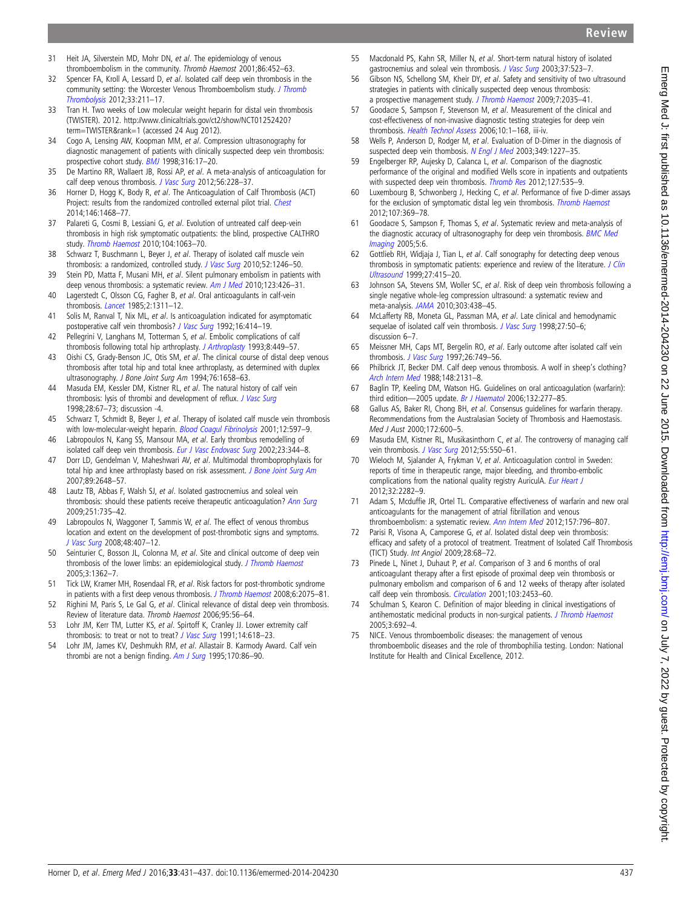Review

- <span id="page-6-0"></span>31 Heit JA, Silverstein MD, Mohr DN, et al. The epidemiology of venous thromboembolism in the community. Thromb Haemost 2001;86:452–63.
- 32 Spencer FA, Kroll A, Lessard D, et al. Isolated calf deep vein thrombosis in the community setting: the Worcester Venous Thromboembolism study. [J Thromb](http://dx.doi.org/10.1007/s11239-011-0670-x) [Thrombolysis](http://dx.doi.org/10.1007/s11239-011-0670-x) 2012;33:211–17.
- 33 Tran H. Two weeks of Low molecular weight heparin for distal vein thrombosis (TWISTER). 2012. [http://www.clinicaltrials.gov/ct2/show/NCT01252420?](http://www.clinicaltrials.gov/ct2/show/NCT01252420?term=TWISTER&rank=1) [term=TWISTER&rank=1](http://www.clinicaltrials.gov/ct2/show/NCT01252420?term=TWISTER&rank=1) (accessed 24 Aug 2012).
- 34 Cogo A, Lensing AW, Koopman MM, et al. Compression ultrasonography for diagnostic management of patients with clinically suspected deep vein thrombosis: prospective cohort study. [BMJ](http://dx.doi.org/10.1136/bmj.316.7124.17) 1998;316:17–20.
- 35 De Martino RR, Wallaert JB, Rossi AP, et al. A meta-analysis of anticoagulation for calf deep venous thrombosis. [J Vasc Surg](http://dx.doi.org/10.1016/j.jvs.2011.09.087) 2012;56:228-37.
- 36 Horner D, Hogg K, Body R, et al. The Anticoagulation of Calf Thrombosis (ACT) Project: results from the randomized controlled external pilot trial. [Chest](http://dx.doi.org/10.1378/chest.14-0235) 2014;146:1468–77.
- 37 Palareti G, Cosmi B, Lessiani G, et al. Evolution of untreated calf deep-vein thrombosis in high risk symptomatic outpatients: the blind, prospective CALTHRO study. [Thromb Haemost](http://dx.doi.org/10.1160/TH10-06-0351) 2010;104:1063–70.
- 38 Schwarz T, Buschmann L, Beyer J, et al. Therapy of isolated calf muscle vein thrombosis: a randomized, controlled study. [J Vasc Surg](http://dx.doi.org/10.1016/j.jvs.2010.05.094) 2010;52:1246-50.
- 39 Stein PD, Matta F, Musani MH, et al. Silent pulmonary embolism in patients with deep venous thrombosis: a systematic review. [Am J Med](http://dx.doi.org/10.1016/j.amjmed.2009.09.037) 2010;123:426-31.
- 40 Lagerstedt C, Olsson CG, Fagher B, et al. Oral anticoagulants in calf-vein thrombosis. [Lancet](http://dx.doi.org/10.1016/S0140-6736(85)91600-9) 1985;2:1311–12.
- 41 Solis M, Ranval T, Nix ML, et al. Is anticoagulation indicated for asymptomatic postoperative calf vein thrombosis? [J Vasc Surg](http://dx.doi.org/10.1016/0741-5214(92)90376-J) 1992;16:414-19.
- 42 Pellegrini V, Langhans M, Totterman S, et al. Embolic complications of calf thrombosis following total hip arthroplasty. [J Arthroplasty](http://dx.doi.org/10.1016/S0883-5403(06)80210-X) 1993;8:449-57.
- 43 Oishi CS, Grady-Benson JC, Otis SM, et al. The clinical course of distal deep venous thrombosis after total hip and total knee arthroplasty, as determined with duplex ultrasonography. J Bone Joint Surg Am 1994;76:1658–63.
- 44 Masuda EM, Kessler DM, Kistner RL, et al. The natural history of calf vein thrombosis: lysis of thrombi and development of reflux. [J Vasc Surg](http://dx.doi.org/10.1016/S0741-5214(98)70201-0) 1998;28:67–73; discussion -4.
- 45 Schwarz T, Schmidt B, Beyer J, et al. Therapy of isolated calf muscle vein thrombosis with low-molecular-weight heparin. [Blood Coagul Fibrinolysis](http://dx.doi.org/10.1097/00001721-200110000-00014) 2001;12:597-9.
- 46 Labropoulos N, Kang SS, Mansour MA, et al. Early thrombus remodelling of isolated calf deep vein thrombosis. [Eur J Vasc Endovasc Surg](http://dx.doi.org/10.1053/ejvs.2002.1608) 2002;23:344-8.
- 47 Dorr LD, Gendelman V, Maheshwari AV, et al. Multimodal thromboprophylaxis for total hip and knee arthroplasty based on risk assessment. [J Bone Joint Surg Am](http://dx.doi.org/10.2106/JBJS.F.00235) 2007;89:2648–57.
- 48 Lautz TB, Abbas F, Walsh SJ, et al. Isolated gastrocnemius and soleal vein thrombosis: should these patients receive therapeutic anticoagulation? [Ann Surg](http://dx.doi.org/10.1097/SLA.0b013e3181c1ae95) 2009;251:735–42.
- 49 Labropoulos N, Waggoner T, Sammis W, et al. The effect of venous thrombus location and extent on the development of post-thrombotic signs and symptoms. [J Vasc Surg](http://dx.doi.org/10.1016/j.jvs.2008.03.016) 2008;48:407–12.
- 50 Seinturier C, Bosson JL, Colonna M, et al. Site and clinical outcome of deep vein thrombosis of the lower limbs: an epidemiological study. [J Thromb Haemost](http://dx.doi.org/10.1111/j.1538-7836.2005.01393.x) 2005;3:1362–7.
- 51 Tick LW, Kramer MH, Rosendaal FR, et al. Risk factors for post-thrombotic syndrome in patients with a first deep venous thrombosis. [J Thromb Haemost](http://dx.doi.org/10.1111/j.1538-7836.2008.03180.x) 2008;6:2075-81.
- 52 Righini M, Paris S, Le Gal G, et al. Clinical relevance of distal deep vein thrombosis. Review of literature data. Thromb Haemost 2006;95:56–64.
- 53 Lohr JM, Kerr TM, Lutter KS, et al. Spirtoff K, Cranley JJ. Lower extremity calf thrombosis: to treat or not to treat? [J Vasc Surg](http://dx.doi.org/10.1016/0741-5214(91)90184-V) 1991;14:618-23.
- 54 Lohr JM, James KV, Deshmukh RM, et al. Allastair B. Karmody Award. Calf vein thrombi are not a benign finding. [Am J Surg](http://dx.doi.org/10.1016/S0002-9610(99)80261-X) 1995;170:86-90.
- 55 Macdonald PS, Kahn SR, Miller N, et al. Short-term natural history of isolated gastrocnemius and soleal vein thrombosis. [J Vasc Surg](http://dx.doi.org/10.1067/mva.2003.149) 2003;37:523-7.
- 56 Gibson NS, Schellong SM, Kheir DY, et al. Safety and sensitivity of two ultrasound strategies in patients with clinically suspected deep venous thrombosis: a prospective management study. [J Thromb Haemost](http://dx.doi.org/10.1111/j.1538-7836.2009.03635.x) 2009;7:2035–41.
- 57 Goodacre S, Sampson F, Stevenson M, et al. Measurement of the clinical and cost-effectiveness of non-invasive diagnostic testing strategies for deep vein thrombosis. [Health Technol Assess](http://dx.doi.org/10.3310/hta10150) 2006;10:1-168, iii-iv.
- 58 Wells P, Anderson D, Rodger M, et al. Evaluation of D-Dimer in the diagnosis of suspected deep vein thombosis. [N Engl J Med](http://dx.doi.org/10.1056/NEJMoa023153) 2003;349:1227-35.
- 59 Engelberger RP, Aujesky D, Calanca L, et al. Comparison of the diagnostic performance of the original and modified Wells score in inpatients and outpatients with suspected deep vein thrombosis. [Thromb Res](http://dx.doi.org/10.1016/j.thromres.2011.02.008) 2012:127:535-9.
- 60 Luxembourg B, Schwonberg J, Hecking C, et al. Performance of five D-dimer assays for the exclusion of symptomatic distal leg vein thrombosis. [Thromb Haemost](http://dx.doi.org/10.1160/TH11-07-0511) 2012;107:369–78.
- 61 Goodacre S, Sampson F, Thomas S, et al. Systematic review and meta-analysis of the diagnostic accuracy of ultrasonography for deep vein thrombosis. [BMC Med](http://dx.doi.org/10.1186/1471-2342-5-6) [Imaging](http://dx.doi.org/10.1186/1471-2342-5-6) 2005;5:6.
- 62 Gottlieb RH, Widjaja J, Tian L, et al. Calf sonography for detecting deep venous thrombosis in symptomatic patients: experience and review of the literature. [J Clin](http://dx.doi.org/10.1002/(SICI)1097-0096(199910)27:8<415::AID-JCU1>3.0.CO;2-6) [Ultrasound](http://dx.doi.org/10.1002/(SICI)1097-0096(199910)27:8<415::AID-JCU1>3.0.CO;2-6) 1999;27:415–20.
- 63 Johnson SA, Stevens SM, Woller SC, et al. Risk of deep vein thrombosis following a single negative whole-leg compression ultrasound: a systematic review and meta-analysis. [JAMA](http://dx.doi.org/10.1001/jama.2010.43) 2010;303:438–45.
- 64 McLafferty RB, Moneta GL, Passman MA, et al. Late clinical and hemodynamic sequelae of isolated calf vein thrombosis. [J Vasc Surg](http://dx.doi.org/10.1016/S0741-5214(98)70291-5) 1998;27:50-6; discussion 6–7.
- 65 Meissner MH, Caps MT, Bergelin RO, et al. Early outcome after isolated calf vein thrombosis. [J Vasc Surg](http://dx.doi.org/10.1016/S0741-5214(97)70086-7) 1997;26:749-56.
- 66 Philbrick JT, Becker DM. Calf deep venous thrombosis. A wolf in sheep's clothing? [Arch Intern Med](http://dx.doi.org/10.1001/archinte.1988.00380100029007) 1988;148:2131–8.
- 67 Baglin TP, Keeling DM, Watson HG. Guidelines on oral anticoagulation (warfarin): third edition-2005 update. [Br J Haematol](http://dx.doi.org/10.1111/j.1365-2141.2005.05856.x) 2006;132:277-85.
- 68 Gallus AS, Baker RI, Chong BH, et al. Consensus guidelines for warfarin therapy. Recommendations from the Australasian Society of Thrombosis and Haemostasis. Med J Aust 2000;172:600–5.
- 69 Masuda EM, Kistner RL, Musikasinthorn C, et al. The controversy of managing calf vein thrombosis. [J Vasc Surg](http://dx.doi.org/10.1016/j.jvs.2011.05.092) 2012;55:550-61.
- 70 Wieloch M, Sjalander A, Frykman V, et al. Anticoagulation control in Sweden: reports of time in therapeutic range, major bleeding, and thrombo-embolic complications from the national quality registry AuriculA. [Eur Heart J](http://dx.doi.org/10.1093/eurheartj/ehr134) 2012;32:2282–9.
- 71 Adam S, Mcduffie JR, Ortel TL. Comparative effectiveness of warfarin and new oral anticoagulants for the management of atrial fibrillation and venous thromboembolism: a systematic review. [Ann Intern Med](http://dx.doi.org/10.7326/0003-4819-157-10-201211200-00532) 2012;157:796-807.
- 72 Parisi R, Visona A, Camporese G, et al. Isolated distal deep vein thrombosis: efficacy and safety of a protocol of treatment. Treatment of Isolated Calf Thrombosis (TICT) Study. Int Angiol 2009;28:68–72.
- 73 Pinede L, Ninet J, Duhaut P, et al. Comparison of 3 and 6 months of oral anticoagulant therapy after a first episode of proximal deep vein thrombosis or pulmonary embolism and comparison of 6 and 12 weeks of therapy after isolated calf deep vein thrombosis. [Circulation](http://dx.doi.org/10.1161/01.CIR.103.20.2453) 2001;103:2453–60.
- 74 Schulman S, Kearon C. Definition of major bleeding in clinical investigations of antihemostatic medicinal products in non-surgical patients. [J Thromb Haemost](http://dx.doi.org/10.1111/j.1538-7836.2005.01204.x) 2005;3:692–4.
- 75 NICE. Venous thromboembolic diseases: the management of venous thromboembolic diseases and the role of thrombophilia testing. London: National Institute for Health and Clinical Excellence, 2012.